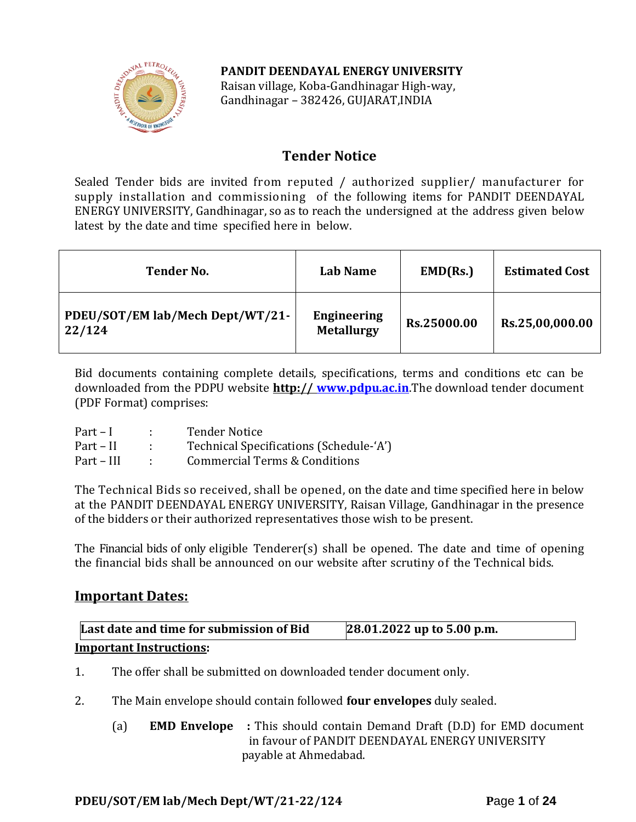### **PANDIT DEENDAYAL ENERGY UNIVERSITY**



Raisan village, Koba-Gandhinagar High-way, Gandhinagar – 382426, GUJARAT,INDIA

## **Tender Notice**

Sealed Tender bids are invited from reputed / authorized supplier/ manufacturer for supply installation and commissioning of the following items for PANDIT DEENDAYAL ENERGY UNIVERSITY, Gandhinagar, so as to reach the undersigned at the address given below latest by the date and time specified here in below.

| <b>Tender No.</b>                          | Lab Name                                | EMD(Rs.)    | <b>Estimated Cost</b> |
|--------------------------------------------|-----------------------------------------|-------------|-----------------------|
| PDEU/SOT/EM lab/Mech Dept/WT/21-<br>22/124 | <b>Engineering</b><br><b>Metallurgy</b> | Rs.25000.00 | Rs.25,00,000.00       |

Bid documents containing complete details, specifications, terms and conditions etc can be downloaded from the PDPU website **http:// [www.pdpu.ac.in](http://www.pdpu.ac.in/)**.The download tender document (PDF Format) comprises:

| $Part-I$   | <b>Tender Notice</b>                     |
|------------|------------------------------------------|
| Part – II  | Technical Specifications (Schedule-'A')  |
| Part – III | <b>Commercial Terms &amp; Conditions</b> |

The Technical Bids so received, shall be opened, on the date and time specified here in below at the PANDIT DEENDAYAL ENERGY UNIVERSITY, Raisan Village, Gandhinagar in the presence of the bidders or their authorized representatives those wish to be present.

The Financial bids of only eligible Tenderer(s) shall be opened. The date and time of opening the financial bids shall be announced on our website after scrutiny of the Technical bids.

### **Important Dates:**

| Last date and time for submission of Bid | 28.01.2022 up to 5.00 p.m. |
|------------------------------------------|----------------------------|
| <b>Important Instructions:</b>           |                            |

- 1. The offer shall be submitted on downloaded tender document only.
- 2. The Main envelope should contain followed **four envelopes** duly sealed.
	- (a) **EMD Envelope :** This should contain Demand Draft (D.D) for EMD document in favour of PANDIT DEENDAYAL ENERGY UNIVERSITY payable at Ahmedabad.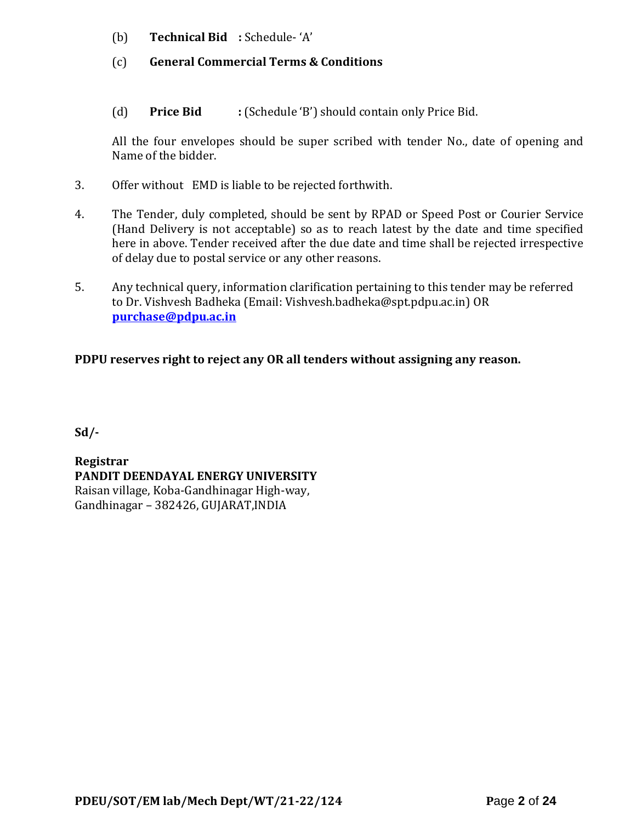- (b) **Technical Bid :** Schedule- 'A'
- (c) **General Commercial Terms & Conditions**
- (d) **Price Bid :** (Schedule 'B') should contain only Price Bid.

All the four envelopes should be super scribed with tender No., date of opening and Name of the bidder.

- 3. Offer without EMD is liable to be rejected forthwith.
- 4. The Tender, duly completed, should be sent by RPAD or Speed Post or Courier Service (Hand Delivery is not acceptable) so as to reach latest by the date and time specified here in above. Tender received after the due date and time shall be rejected irrespective of delay due to postal service or any other reasons.
- 5. Any technical query, information clarification pertaining to this tender may be referred to Dr. Vishvesh Badheka (Email: Vishvesh.badheka@spt.pdpu.ac.in) OR **[purchase@pdpu.ac.in](mailto:purchase@pdpu.ac.in)**

### **PDPU reserves right to reject any OR all tenders without assigning any reason.**

**Sd/-**

**Registrar PANDIT DEENDAYAL ENERGY UNIVERSITY** Raisan village, Koba-Gandhinagar High-way, Gandhinagar – 382426, GUJARAT,INDIA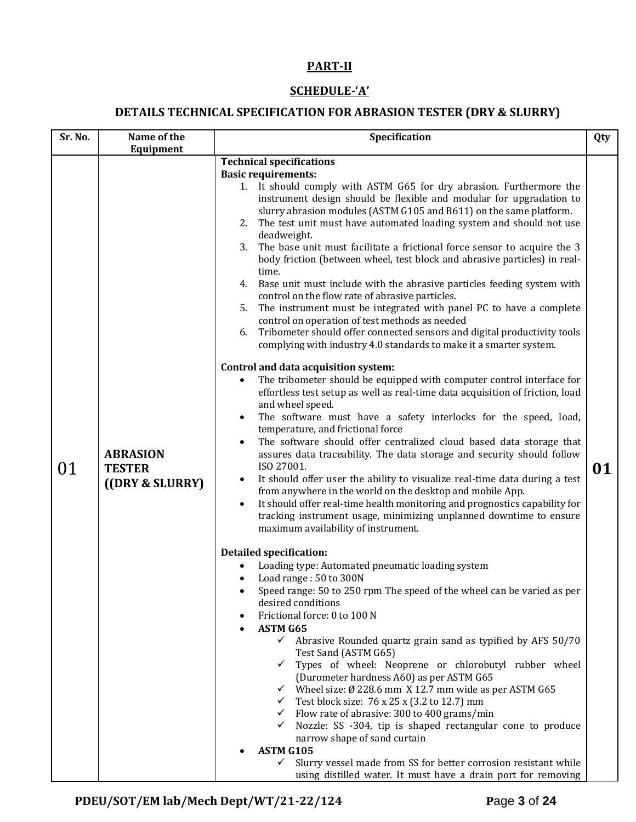### **PART-II**

### **SCHEDULE-'A'**

# **DETAILS TECHNICAL SPECIFICATION FOR ABRASION TESTER (DRY & SLURRY)**

| Sr. No.   | Name of the                                         | Specification                                                                                                                                                                                                                                                                                                                                                                                                                                                                                                                                                                                                                                                                                                                                                                                                                                                                                                                                                                  | Qty |
|-----------|-----------------------------------------------------|--------------------------------------------------------------------------------------------------------------------------------------------------------------------------------------------------------------------------------------------------------------------------------------------------------------------------------------------------------------------------------------------------------------------------------------------------------------------------------------------------------------------------------------------------------------------------------------------------------------------------------------------------------------------------------------------------------------------------------------------------------------------------------------------------------------------------------------------------------------------------------------------------------------------------------------------------------------------------------|-----|
| Equipment |                                                     |                                                                                                                                                                                                                                                                                                                                                                                                                                                                                                                                                                                                                                                                                                                                                                                                                                                                                                                                                                                |     |
|           |                                                     | <b>Technical specifications</b><br><b>Basic requirements:</b><br>1. It should comply with ASTM G65 for dry abrasion. Furthermore the<br>instrument design should be flexible and modular for upgradation to<br>slurry abrasion modules (ASTM G105 and B611) on the same platform.<br>2. The test unit must have automated loading system and should not use<br>deadweight.<br>3.<br>The base unit must facilitate a frictional force sensor to acquire the 3<br>body friction (between wheel, test block and abrasive particles) in real-<br>time.<br>4. Base unit must include with the abrasive particles feeding system with<br>control on the flow rate of abrasive particles.<br>The instrument must be integrated with panel PC to have a complete<br>5.<br>control on operation of test methods as needed<br>Tribometer should offer connected sensors and digital productivity tools<br>6.<br>complying with industry 4.0 standards to make it a smarter system.       |     |
| 01        | <b>ABRASION</b><br><b>TESTER</b><br>((DRY & SLURRY) | Control and data acquisition system:<br>The tribometer should be equipped with computer control interface for<br>effortless test setup as well as real-time data acquisition of friction, load<br>and wheel speed.<br>The software must have a safety interlocks for the speed, load,<br>temperature, and frictional force<br>The software should offer centralized cloud based data storage that<br>assures data traceability. The data storage and security should follow<br>ISO 27001.<br>It should offer user the ability to visualize real-time data during a test<br>from anywhere in the world on the desktop and mobile App.<br>It should offer real-time health monitoring and prognostics capability for<br>tracking instrument usage, minimizing unplanned downtime to ensure<br>maximum availability of instrument.                                                                                                                                                | 01  |
|           |                                                     | <b>Detailed specification:</b><br>Loading type: Automated pneumatic loading system<br>$\bullet$<br>Load range: 50 to 300N<br>Speed range: 50 to 250 rpm The speed of the wheel can be varied as per<br>desired conditions<br>Frictional force: 0 to 100 N<br><b>ASTM G65</b><br>$\checkmark$ Abrasive Rounded quartz grain sand as typified by AFS 50/70<br>Test Sand (ASTM G65)<br>$\checkmark$ Types of wheel: Neoprene or chlorobutyl rubber wheel<br>(Durometer hardness A60) as per ASTM G65<br>$\checkmark$ Wheel size: Ø 228.6 mm X 12.7 mm wide as per ASTM G65<br>$\checkmark$ Test block size: 76 x 25 x (3.2 to 12.7) mm<br>$\checkmark$ Flow rate of abrasive: 300 to 400 grams/min<br>Nozzle: SS -304, tip is shaped rectangular cone to produce<br>$\checkmark$<br>narrow shape of sand curtain<br>ASTM G105<br>Slurry vessel made from SS for better corrosion resistant while<br>$\checkmark$<br>using distilled water. It must have a drain port for removing |     |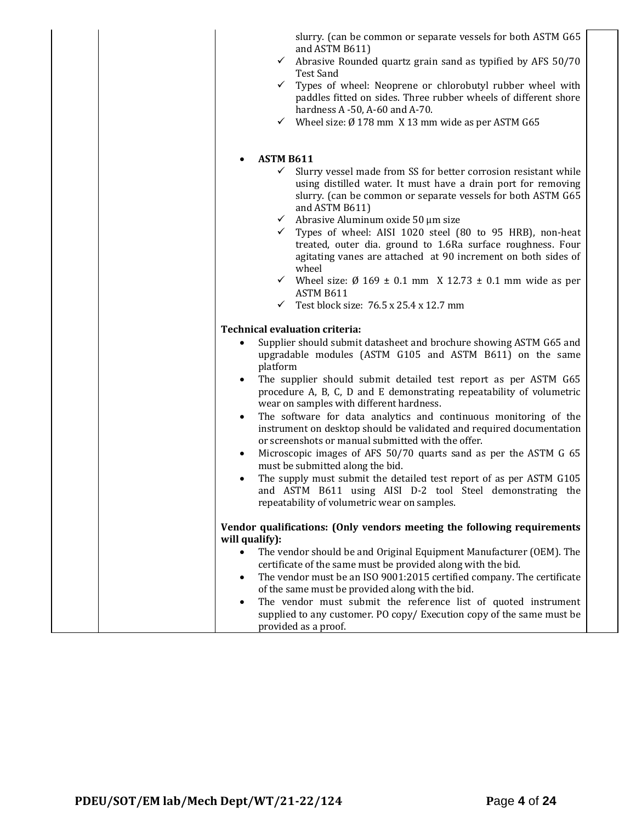|  |                  | slurry. (can be common or separate vessels for both ASTM G65<br>and ASTM B611)                                                                                                                                     |
|--|------------------|--------------------------------------------------------------------------------------------------------------------------------------------------------------------------------------------------------------------|
|  | ✓                | Abrasive Rounded quartz grain sand as typified by AFS 50/70<br>Test Sand                                                                                                                                           |
|  | $\checkmark$     | Types of wheel: Neoprene or chlorobutyl rubber wheel with<br>paddles fitted on sides. Three rubber wheels of different shore                                                                                       |
|  |                  | hardness $A - 50$ , $A - 60$ and $A - 70$ .<br>$\checkmark$ Wheel size: $\emptyset$ 178 mm X 13 mm wide as per ASTM G65                                                                                            |
|  | <b>ASTM B611</b> |                                                                                                                                                                                                                    |
|  |                  |                                                                                                                                                                                                                    |
|  | ✓                | Slurry vessel made from SS for better corrosion resistant while<br>using distilled water. It must have a drain port for removing<br>slurry. (can be common or separate vessels for both ASTM G65<br>and ASTM B611) |
|  | $\checkmark$     | Abrasive Aluminum oxide 50 µm size                                                                                                                                                                                 |
|  |                  | Types of wheel: AISI 1020 steel (80 to 95 HRB), non-heat<br>treated, outer dia. ground to 1.6Ra surface roughness. Four<br>agitating vanes are attached at 90 increment on both sides of<br>wheel                  |
|  |                  | $\checkmark$ Wheel size: $\emptyset$ 169 ± 0.1 mm X 12.73 ± 0.1 mm wide as per<br>ASTM B611                                                                                                                        |
|  | $\checkmark$     | Test block size: 76.5 x 25.4 x 12.7 mm                                                                                                                                                                             |
|  |                  | <b>Technical evaluation criteria:</b>                                                                                                                                                                              |
|  | platform         | Supplier should submit datasheet and brochure showing ASTM G65 and<br>upgradable modules (ASTM G105 and ASTM B611) on the same                                                                                     |
|  | ٠                | The supplier should submit detailed test report as per ASTM G65<br>procedure A, B, C, D and E demonstrating repeatability of volumetric<br>wear on samples with different hardness.                                |
|  | ٠                | The software for data analytics and continuous monitoring of the<br>instrument on desktop should be validated and required documentation<br>or screenshots or manual submitted with the offer.                     |
|  | ٠                | Microscopic images of AFS 50/70 quarts sand as per the ASTM G 65<br>must be submitted along the bid.                                                                                                               |
|  |                  | The supply must submit the detailed test report of as per ASTM G105<br>and ASTM B611 using AISI D-2 tool Steel demonstrating the<br>repeatability of volumetric wear on samples.                                   |
|  |                  |                                                                                                                                                                                                                    |
|  |                  | Vendor qualifications: (Only vendors meeting the following requirements                                                                                                                                            |
|  | will qualify):   |                                                                                                                                                                                                                    |
|  | $\bullet$        | The vendor should be and Original Equipment Manufacturer (OEM). The                                                                                                                                                |
|  |                  | certificate of the same must be provided along with the bid.<br>The vendor must be an ISO 9001:2015 certified company. The certificate                                                                             |
|  | ٠                | of the same must be provided along with the bid.                                                                                                                                                                   |
|  | ٠                | The vendor must submit the reference list of quoted instrument                                                                                                                                                     |
|  |                  | supplied to any customer. PO copy/ Execution copy of the same must be<br>provided as a proof.                                                                                                                      |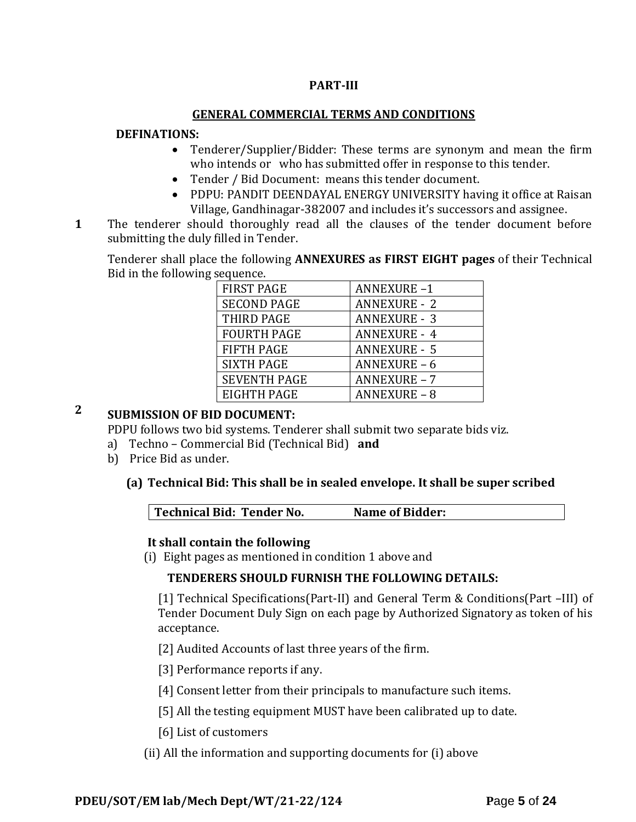### **PART-III**

#### **GENERAL COMMERCIAL TERMS AND CONDITIONS**

#### **DEFINATIONS:**

- Tenderer/Supplier/Bidder: These terms are synonym and mean the firm who intends or who has submitted offer in response to this tender.
- Tender / Bid Document: means this tender document.
- PDPU: PANDIT DEENDAYAL ENERGY UNIVERSITY having it office at Raisan Village, Gandhinagar-382007 and includes it's successors and assignee.
- **1**1. The tenderer should thoroughly read all the clauses of the tender document before submitting the duly filled in Tender.

Tenderer shall place the following **ANNEXURES as FIRST EIGHT pages** of their Technical Bid in the following sequence.

| <b>FIRST PAGE</b>   | <b>ANNEXURE-1</b>   |
|---------------------|---------------------|
| <b>SECOND PAGE</b>  | <b>ANNEXURE - 2</b> |
| THIRD PAGE          | <b>ANNEXURE - 3</b> |
| <b>FOURTH PAGE</b>  | <b>ANNEXURE - 4</b> |
| <b>FIFTH PAGE</b>   | <b>ANNEXURE - 5</b> |
| <b>SIXTH PAGE</b>   | ANNEXURE-6          |
| <b>SEVENTH PAGE</b> | <b>ANNEXURE - 7</b> |
| EIGHTH PAGE         | <b>ANNEXURE - 8</b> |

# **2 SUBMISSION OF BID DOCUMENT:**

PDPU follows two bid systems. Tenderer shall submit two separate bids viz.

- a) Techno Commercial Bid (Technical Bid) **and**
- b) Price Bid as under.

#### **(a) Technical Bid: This shall be in sealed envelope. It shall be super scribed**

|  | Technical Bid: Tender No.<br><b>Name of Bidder:</b> |  |
|--|-----------------------------------------------------|--|
|--|-----------------------------------------------------|--|

#### **It shall contain the following**

(i) Eight pages as mentioned in condition 1 above and

#### **TENDERERS SHOULD FURNISH THE FOLLOWING DETAILS:**

[1] Technical Specifications(Part-II) and General Term & Conditions(Part –III) of Tender Document Duly Sign on each page by Authorized Signatory as token of his acceptance.

[2] Audited Accounts of last three years of the firm.

[3] Performance reports if any.

[4] Consent letter from their principals to manufacture such items.

[5] All the testing equipment MUST have been calibrated up to date.

[6] List of customers

(ii) All the information and supporting documents for (i) above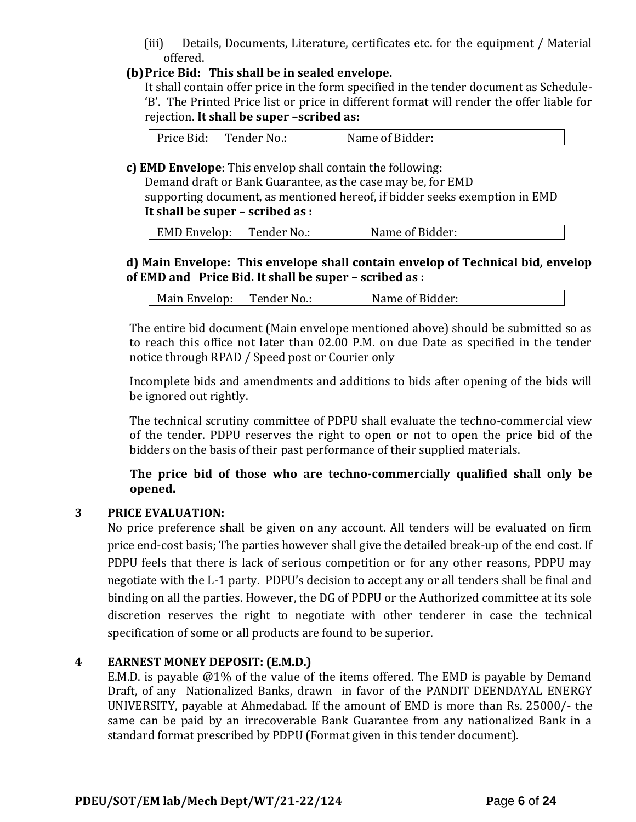(iii) Details, Documents, Literature, certificates etc. for the equipment / Material offered.

### **(b)Price Bid: This shall be in sealed envelope.**

It shall contain offer price in the form specified in the tender document as Schedule- 'B'. The Printed Price list or price in different format will render the offer liable for rejection. **It shall be super –scribed as:**

Price Bid: Tender No.: Name of Bidder:

**c) EMD Envelope**: This envelop shall contain the following:

Demand draft or Bank Guarantee, as the case may be, for EMD supporting document, as mentioned hereof, if bidder seeks exemption in EMD **It shall be super – scribed as :**

|  | EMD Envelop: | Tender No.: | Name of Bidder: |
|--|--------------|-------------|-----------------|
|--|--------------|-------------|-----------------|

### **d) Main Envelope: This envelope shall contain envelop of Technical bid, envelop of EMD and Price Bid. It shall be super – scribed as :**

| Tender No.:<br>Name of Bidder:<br>Main Envelop: |
|-------------------------------------------------|
|-------------------------------------------------|

The entire bid document (Main envelope mentioned above) should be submitted so as to reach this office not later than 02.00 P.M. on due Date as specified in the tender notice through RPAD / Speed post or Courier only

Incomplete bids and amendments and additions to bids after opening of the bids will be ignored out rightly.

The technical scrutiny committee of PDPU shall evaluate the techno-commercial view of the tender. PDPU reserves the right to open or not to open the price bid of the bidders on the basis of their past performance of their supplied materials.

**The price bid of those who are techno-commercially qualified shall only be opened.** 

### **3 PRICE EVALUATION:**

No price preference shall be given on any account. All tenders will be evaluated on firm price end-cost basis; The parties however shall give the detailed break-up of the end cost. If PDPU feels that there is lack of serious competition or for any other reasons, PDPU may negotiate with the L-1 party. PDPU's decision to accept any or all tenders shall be final and binding on all the parties. However, the DG of PDPU or the Authorized committee at its sole discretion reserves the right to negotiate with other tenderer in case the technical specification of some or all products are found to be superior.

#### **4 EARNEST MONEY DEPOSIT: (E.M.D.)**

E.M.D. is payable @1% of the value of the items offered. The EMD is payable by Demand Draft, of any Nationalized Banks, drawn in favor of the PANDIT DEENDAYAL ENERGY UNIVERSITY, payable at Ahmedabad. If the amount of EMD is more than Rs. 25000/- the same can be paid by an irrecoverable Bank Guarantee from any nationalized Bank in a standard format prescribed by PDPU (Format given in this tender document).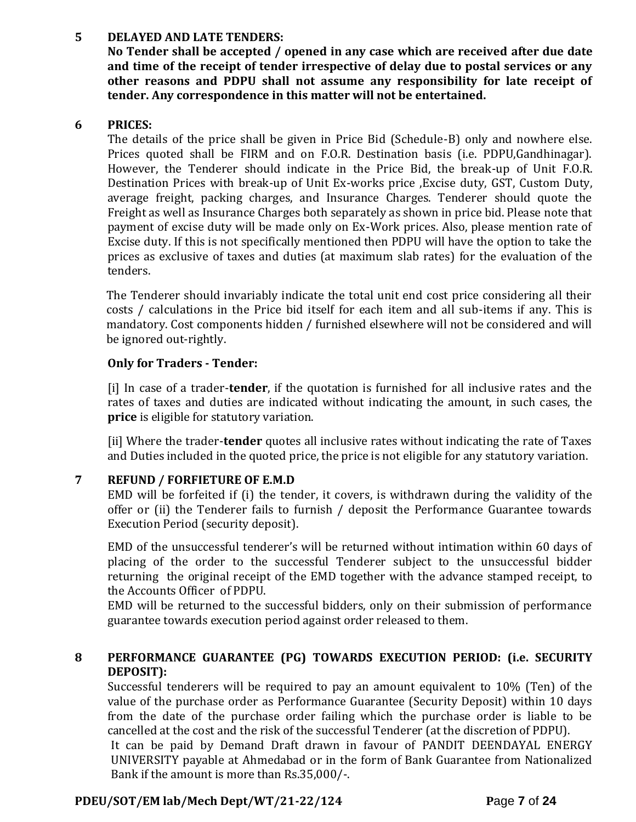### **5 DELAYED AND LATE TENDERS:**

**No Tender shall be accepted / opened in any case which are received after due date and time of the receipt of tender irrespective of delay due to postal services or any other reasons and PDPU shall not assume any responsibility for late receipt of tender. Any correspondence in this matter will not be entertained.**

#### **6 PRICES:**

The details of the price shall be given in Price Bid (Schedule-B) only and nowhere else. Prices quoted shall be FIRM and on F.O.R. Destination basis (i.e. PDPU,Gandhinagar). However, the Tenderer should indicate in the Price Bid, the break-up of Unit F.O.R. Destination Prices with break-up of Unit Ex-works price ,Excise duty, GST, Custom Duty, average freight, packing charges, and Insurance Charges. Tenderer should quote the Freight as well as Insurance Charges both separately as shown in price bid. Please note that payment of excise duty will be made only on Ex-Work prices. Also, please mention rate of Excise duty. If this is not specifically mentioned then PDPU will have the option to take the prices as exclusive of taxes and duties (at maximum slab rates) for the evaluation of the tenders.

The Tenderer should invariably indicate the total unit end cost price considering all their costs / calculations in the Price bid itself for each item and all sub-items if any. This is mandatory. Cost components hidden / furnished elsewhere will not be considered and will be ignored out-rightly.

### **Only for Traders - Tender:**

[i] In case of a trader-**tender**, if the quotation is furnished for all inclusive rates and the rates of taxes and duties are indicated without indicating the amount, in such cases, the **price** is eligible for statutory variation.

[ii] Where the trader-**tender** quotes all inclusive rates without indicating the rate of Taxes and Duties included in the quoted price, the price is not eligible for any statutory variation.

### **7 REFUND / FORFIETURE OF E.M.D**

EMD will be forfeited if (i) the tender, it covers, is withdrawn during the validity of the offer or (ii) the Tenderer fails to furnish / deposit the Performance Guarantee towards Execution Period (security deposit).

EMD of the unsuccessful tenderer's will be returned without intimation within 60 days of placing of the order to the successful Tenderer subject to the unsuccessful bidder returning the original receipt of the EMD together with the advance stamped receipt, to the Accounts Officer of PDPU.

EMD will be returned to the successful bidders, only on their submission of performance guarantee towards execution period against order released to them.

### **8 PERFORMANCE GUARANTEE (PG) TOWARDS EXECUTION PERIOD: (i.e. SECURITY DEPOSIT):**

Successful tenderers will be required to pay an amount equivalent to 10% (Ten) of the value of the purchase order as Performance Guarantee (Security Deposit) within 10 days from the date of the purchase order failing which the purchase order is liable to be cancelled at the cost and the risk of the successful Tenderer (at the discretion of PDPU).

It can be paid by Demand Draft drawn in favour of PANDIT DEENDAYAL ENERGY UNIVERSITY payable at Ahmedabad or in the form of Bank Guarantee from Nationalized Bank if the amount is more than Rs.35,000/-.

### **PDEU/SOT/EM lab/Mech Dept/WT/21-22/124 P**age **7** of **24**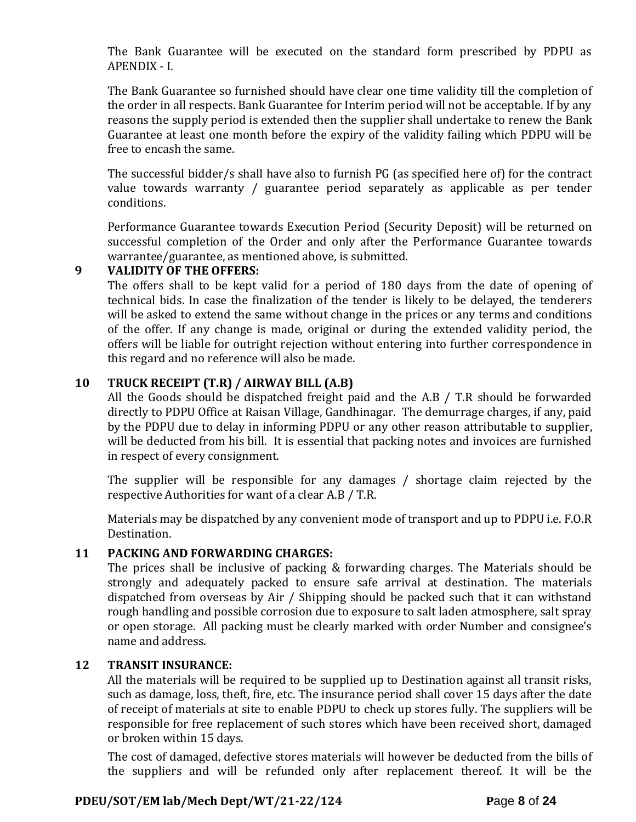The Bank Guarantee will be executed on the standard form prescribed by PDPU as APENDIX - I.

The Bank Guarantee so furnished should have clear one time validity till the completion of the order in all respects. Bank Guarantee for Interim period will not be acceptable. If by any reasons the supply period is extended then the supplier shall undertake to renew the Bank Guarantee at least one month before the expiry of the validity failing which PDPU will be free to encash the same.

The successful bidder/s shall have also to furnish PG (as specified here of) for the contract value towards warranty / guarantee period separately as applicable as per tender conditions.

Performance Guarantee towards Execution Period (Security Deposit) will be returned on successful completion of the Order and only after the Performance Guarantee towards warrantee/guarantee, as mentioned above, is submitted.

#### **9 VALIDITY OF THE OFFERS:**

The offers shall to be kept valid for a period of 180 days from the date of opening of technical bids. In case the finalization of the tender is likely to be delayed, the tenderers will be asked to extend the same without change in the prices or any terms and conditions of the offer. If any change is made, original or during the extended validity period, the offers will be liable for outright rejection without entering into further correspondence in this regard and no reference will also be made.

### **10 TRUCK RECEIPT (T.R) / AIRWAY BILL (A.B)**

All the Goods should be dispatched freight paid and the A.B / T.R should be forwarded directly to PDPU Office at Raisan Village, Gandhinagar. The demurrage charges, if any, paid by the PDPU due to delay in informing PDPU or any other reason attributable to supplier, will be deducted from his bill. It is essential that packing notes and invoices are furnished in respect of every consignment.

The supplier will be responsible for any damages / shortage claim rejected by the respective Authorities for want of a clear A.B / T.R.

Materials may be dispatched by any convenient mode of transport and up to PDPU i.e. F.O.R Destination.

### **11 PACKING AND FORWARDING CHARGES:**

The prices shall be inclusive of packing & forwarding charges. The Materials should be strongly and adequately packed to ensure safe arrival at destination. The materials dispatched from overseas by Air / Shipping should be packed such that it can withstand rough handling and possible corrosion due to exposure to salt laden atmosphere, salt spray or open storage. All packing must be clearly marked with order Number and consignee's name and address.

#### **12 TRANSIT INSURANCE:**

All the materials will be required to be supplied up to Destination against all transit risks, such as damage, loss, theft, fire, etc. The insurance period shall cover 15 days after the date of receipt of materials at site to enable PDPU to check up stores fully. The suppliers will be responsible for free replacement of such stores which have been received short, damaged or broken within 15 days.

The cost of damaged, defective stores materials will however be deducted from the bills of the suppliers and will be refunded only after replacement thereof. It will be the

### **PDEU/SOT/EM lab/Mech Dept/WT/21-22/124 P**age **8** of **24**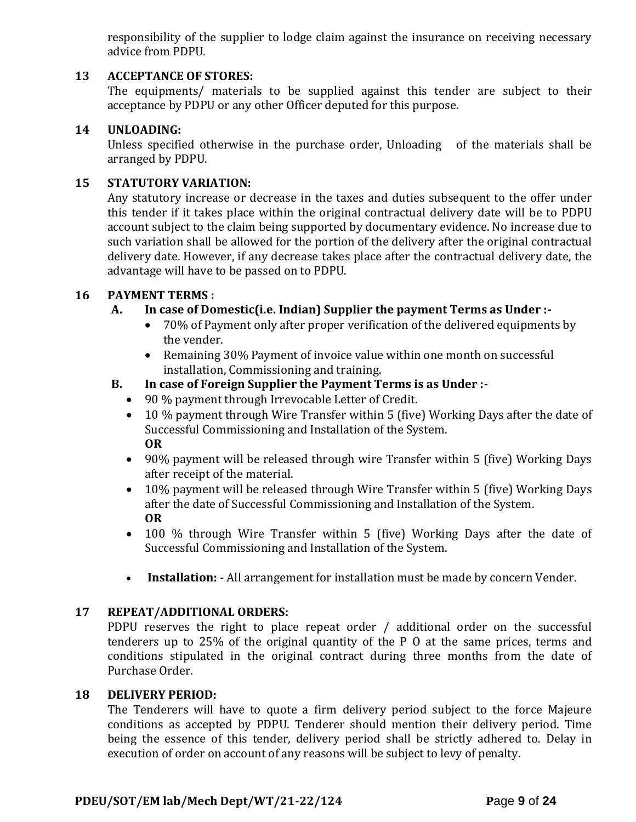responsibility of the supplier to lodge claim against the insurance on receiving necessary advice from PDPU.

### **13 ACCEPTANCE OF STORES:**

The equipments/ materials to be supplied against this tender are subject to their acceptance by PDPU or any other Officer deputed for this purpose.

#### **14 UNLOADING:**

Unless specified otherwise in the purchase order, Unloading of the materials shall be arranged by PDPU.

#### **15 STATUTORY VARIATION:**

Any statutory increase or decrease in the taxes and duties subsequent to the offer under this tender if it takes place within the original contractual delivery date will be to PDPU account subject to the claim being supported by documentary evidence. No increase due to such variation shall be allowed for the portion of the delivery after the original contractual delivery date. However, if any decrease takes place after the contractual delivery date, the advantage will have to be passed on to PDPU.

#### **16 PAYMENT TERMS :**

#### **A. In case of Domestic(i.e. Indian) Supplier the payment Terms as Under :-**

- 70% of Payment only after proper verification of the delivered equipments by the vender.
- Remaining 30% Payment of invoice value within one month on successful installation, Commissioning and training.

#### **B. In case of Foreign Supplier the Payment Terms is as Under :-**

- 90 % payment through Irrevocable Letter of Credit.
- 10 % payment through Wire Transfer within 5 (five) Working Days after the date of Successful Commissioning and Installation of the System. **OR**
- 90% payment will be released through wire Transfer within 5 (five) Working Days after receipt of the material.
- 10% payment will be released through Wire Transfer within 5 (five) Working Days after the date of Successful Commissioning and Installation of the System. **OR**
- 100 % through Wire Transfer within 5 (five) Working Days after the date of Successful Commissioning and Installation of the System.
- **Installation:** All arrangement for installation must be made by concern Vender.

#### **17 REPEAT/ADDITIONAL ORDERS:**

PDPU reserves the right to place repeat order / additional order on the successful tenderers up to 25% of the original quantity of the P O at the same prices, terms and conditions stipulated in the original contract during three months from the date of Purchase Order.

#### **18 DELIVERY PERIOD:**

The Tenderers will have to quote a firm delivery period subject to the force Majeure conditions as accepted by PDPU. Tenderer should mention their delivery period. Time being the essence of this tender, delivery period shall be strictly adhered to. Delay in execution of order on account of any reasons will be subject to levy of penalty.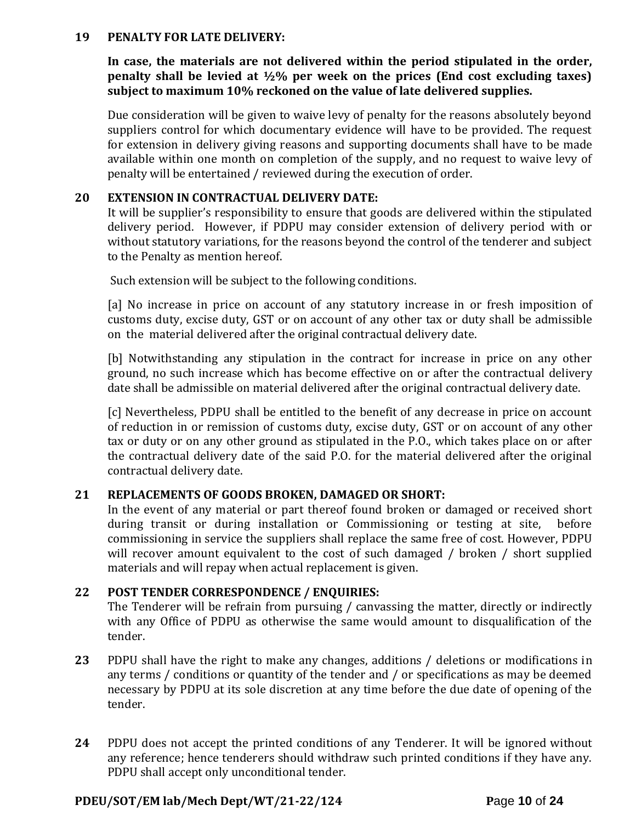#### **19 PENALTY FOR LATE DELIVERY:**

**In case, the materials are not delivered within the period stipulated in the order, penalty shall be levied at ½% per week on the prices (End cost excluding taxes) subject to maximum 10% reckoned on the value of late delivered supplies.**

Due consideration will be given to waive levy of penalty for the reasons absolutely beyond suppliers control for which documentary evidence will have to be provided. The request for extension in delivery giving reasons and supporting documents shall have to be made available within one month on completion of the supply, and no request to waive levy of penalty will be entertained / reviewed during the execution of order.

#### **20 EXTENSION IN CONTRACTUAL DELIVERY DATE:**

It will be supplier's responsibility to ensure that goods are delivered within the stipulated delivery period. However, if PDPU may consider extension of delivery period with or without statutory variations, for the reasons beyond the control of the tenderer and subject to the Penalty as mention hereof.

Such extension will be subject to the following conditions.

[a] No increase in price on account of any statutory increase in or fresh imposition of customs duty, excise duty, GST or on account of any other tax or duty shall be admissible on the material delivered after the original contractual delivery date.

[b] Notwithstanding any stipulation in the contract for increase in price on any other ground, no such increase which has become effective on or after the contractual delivery date shall be admissible on material delivered after the original contractual delivery date.

[c] Nevertheless, PDPU shall be entitled to the benefit of any decrease in price on account of reduction in or remission of customs duty, excise duty, GST or on account of any other tax or duty or on any other ground as stipulated in the P.O., which takes place on or after the contractual delivery date of the said P.O. for the material delivered after the original contractual delivery date.

#### **21 REPLACEMENTS OF GOODS BROKEN, DAMAGED OR SHORT:**

In the event of any material or part thereof found broken or damaged or received short during transit or during installation or Commissioning or testing at site, before commissioning in service the suppliers shall replace the same free of cost. However, PDPU will recover amount equivalent to the cost of such damaged / broken / short supplied materials and will repay when actual replacement is given.

#### **22 POST TENDER CORRESPONDENCE / ENQUIRIES:**

The Tenderer will be refrain from pursuing / canvassing the matter, directly or indirectly with any Office of PDPU as otherwise the same would amount to disqualification of the tender.

- **23** PDPU shall have the right to make any changes, additions / deletions or modifications in any terms / conditions or quantity of the tender and / or specifications as may be deemed necessary by PDPU at its sole discretion at any time before the due date of opening of the tender.
- **24** PDPU does not accept the printed conditions of any Tenderer. It will be ignored without any reference; hence tenderers should withdraw such printed conditions if they have any. PDPU shall accept only unconditional tender.

#### **PDEU/SOT/EM lab/Mech Dept/WT/21-22/124 P**age **10** of **24**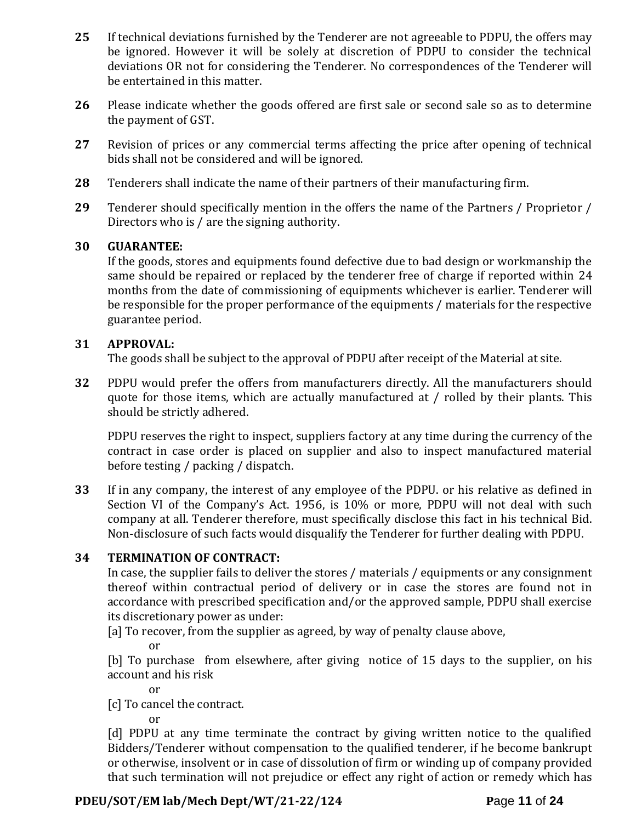- **25** If technical deviations furnished by the Tenderer are not agreeable to PDPU, the offers may be ignored. However it will be solely at discretion of PDPU to consider the technical deviations OR not for considering the Tenderer. No correspondences of the Tenderer will be entertained in this matter.
- **26** Please indicate whether the goods offered are first sale or second sale so as to determine the payment of GST.
- **27** Revision of prices or any commercial terms affecting the price after opening of technical bids shall not be considered and will be ignored.
- **28** Tenderers shall indicate the name of their partners of their manufacturing firm.
- **29** Tenderer should specifically mention in the offers the name of the Partners / Proprietor / Directors who is / are the signing authority.

### **30 GUARANTEE:**

If the goods, stores and equipments found defective due to bad design or workmanship the same should be repaired or replaced by the tenderer free of charge if reported within 24 months from the date of commissioning of equipments whichever is earlier. Tenderer will be responsible for the proper performance of the equipments / materials for the respective guarantee period.

### **31 APPROVAL:**

The goods shall be subject to the approval of PDPU after receipt of the Material at site.

**32** PDPU would prefer the offers from manufacturers directly. All the manufacturers should quote for those items, which are actually manufactured at / rolled by their plants. This should be strictly adhered.

PDPU reserves the right to inspect, suppliers factory at any time during the currency of the contract in case order is placed on supplier and also to inspect manufactured material before testing / packing / dispatch.

**33** If in any company, the interest of any employee of the PDPU. or his relative as defined in Section VI of the Company's Act. 1956, is 10% or more, PDPU will not deal with such company at all. Tenderer therefore, must specifically disclose this fact in his technical Bid. Non-disclosure of such facts would disqualify the Tenderer for further dealing with PDPU.

### **34 TERMINATION OF CONTRACT:**

In case, the supplier fails to deliver the stores / materials / equipments or any consignment thereof within contractual period of delivery or in case the stores are found not in accordance with prescribed specification and/or the approved sample, PDPU shall exercise its discretionary power as under:

[a] To recover, from the supplier as agreed, by way of penalty clause above,

or

[b] To purchase from elsewhere, after giving notice of 15 days to the supplier, on his account and his risk

or

[c] To cancel the contract.

or

[d] PDPU at any time terminate the contract by giving written notice to the qualified Bidders/Tenderer without compensation to the qualified tenderer, if he become bankrupt or otherwise, insolvent or in case of dissolution of firm or winding up of company provided that such termination will not prejudice or effect any right of action or remedy which has

### **PDEU/SOT/EM lab/Mech Dept/WT/21-22/124 P**age **11** of **24**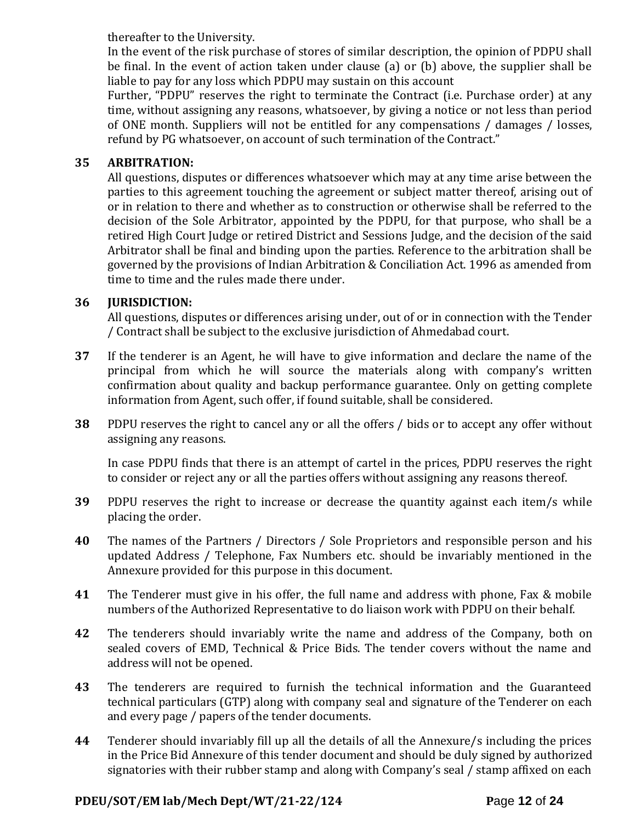thereafter to the University.

In the event of the risk purchase of stores of similar description, the opinion of PDPU shall be final. In the event of action taken under clause (a) or (b) above, the supplier shall be liable to pay for any loss which PDPU may sustain on this account

Further, "PDPU" reserves the right to terminate the Contract (i.e. Purchase order) at any time, without assigning any reasons, whatsoever, by giving a notice or not less than period of ONE month. Suppliers will not be entitled for any compensations / damages / losses, refund by PG whatsoever, on account of such termination of the Contract."

### **35 ARBITRATION:**

All questions, disputes or differences whatsoever which may at any time arise between the parties to this agreement touching the agreement or subject matter thereof, arising out of or in relation to there and whether as to construction or otherwise shall be referred to the decision of the Sole Arbitrator, appointed by the PDPU, for that purpose, who shall be a retired High Court Judge or retired District and Sessions Judge, and the decision of the said Arbitrator shall be final and binding upon the parties. Reference to the arbitration shall be governed by the provisions of Indian Arbitration & Conciliation Act. 1996 as amended from time to time and the rules made there under.

### **36 JURISDICTION:**

All questions, disputes or differences arising under, out of or in connection with the Tender / Contract shall be subject to the exclusive jurisdiction of Ahmedabad court.

- **37** If the tenderer is an Agent, he will have to give information and declare the name of the principal from which he will source the materials along with company's written confirmation about quality and backup performance guarantee. Only on getting complete information from Agent, such offer, if found suitable, shall be considered.
- **38** PDPU reserves the right to cancel any or all the offers / bids or to accept any offer without assigning any reasons.

In case PDPU finds that there is an attempt of cartel in the prices, PDPU reserves the right to consider or reject any or all the parties offers without assigning any reasons thereof.

- **39** PDPU reserves the right to increase or decrease the quantity against each item/s while placing the order.
- **40** The names of the Partners / Directors / Sole Proprietors and responsible person and his updated Address / Telephone, Fax Numbers etc. should be invariably mentioned in the Annexure provided for this purpose in this document.
- **41** The Tenderer must give in his offer, the full name and address with phone, Fax & mobile numbers of the Authorized Representative to do liaison work with PDPU on their behalf.
- **42** The tenderers should invariably write the name and address of the Company, both on sealed covers of EMD, Technical & Price Bids. The tender covers without the name and address will not be opened.
- **43** The tenderers are required to furnish the technical information and the Guaranteed technical particulars (GTP) along with company seal and signature of the Tenderer on each and every page / papers of the tender documents.
- **44** Tenderer should invariably fill up all the details of all the Annexure/s including the prices in the Price Bid Annexure of this tender document and should be duly signed by authorized signatories with their rubber stamp and along with Company's seal / stamp affixed on each

### **PDEU/SOT/EM lab/Mech Dept/WT/21-22/124 P**age **12** of **24**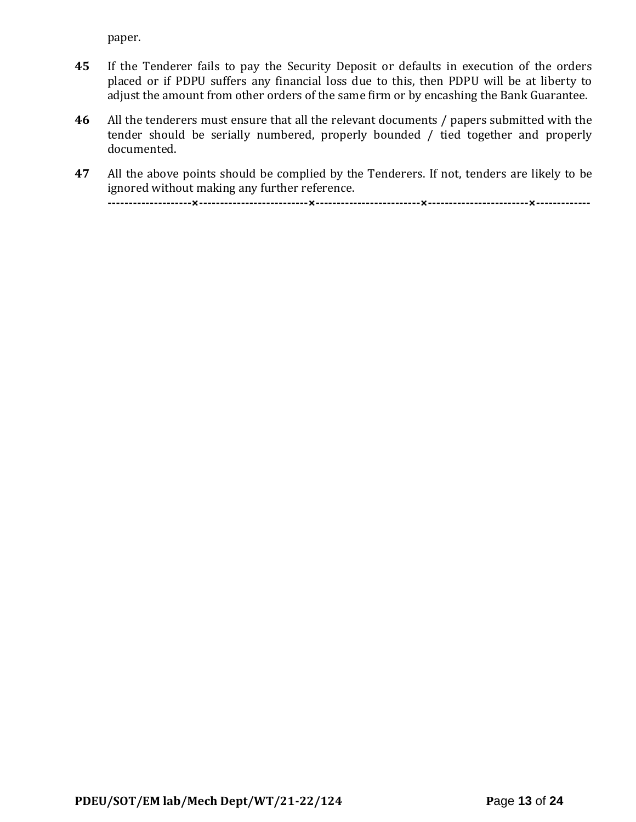paper.

- **45** If the Tenderer fails to pay the Security Deposit or defaults in execution of the orders placed or if PDPU suffers any financial loss due to this, then PDPU will be at liberty to adjust the amount from other orders of the same firm or by encashing the Bank Guarantee.
- **46** All the tenderers must ensure that all the relevant documents / papers submitted with the tender should be serially numbered, properly bounded / tied together and properly documented.
- **47** All the above points should be complied by the Tenderers. If not, tenders are likely to be ignored without making any further reference.

**--------------------×--------------------------×-------------------------×------------------------×-------------**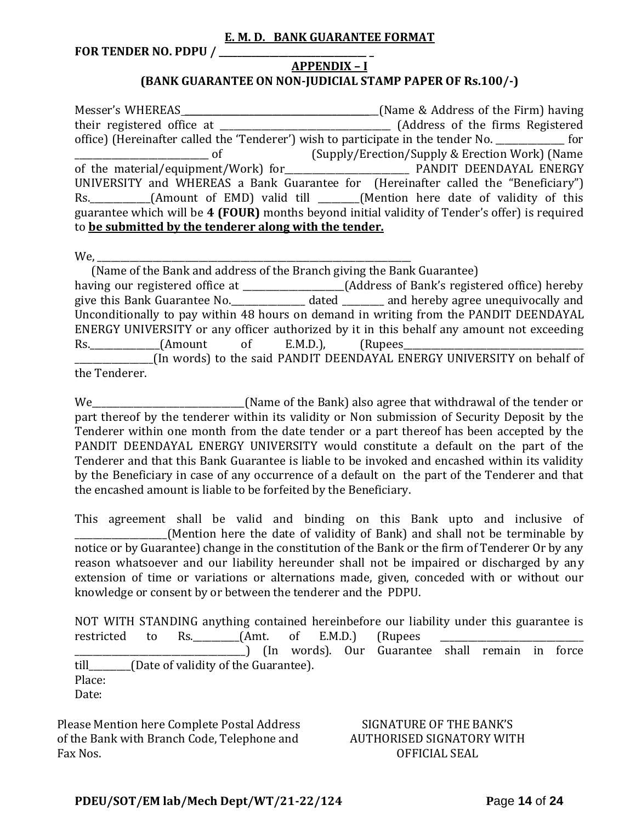#### **E. M. D. BANK GUARANTEE FORMAT**

**FOR TENDER NO. PDPU / \_\_\_\_\_\_\_\_\_\_\_\_\_\_\_\_\_\_\_\_\_\_\_\_\_\_\_\_\_\_\_\_ \_**

#### **APPENDIX – I (BANK GUARANTEE ON NON-JUDICIAL STAMP PAPER OF Rs.100/-)**

Messer's WHEREAS \_\_\_\_\_\_\_\_\_\_\_\_\_\_\_\_\_\_\_\_\_\_\_\_\_\_\_\_\_\_\_\_\_\_\_\_\_\_\_\_\_\_(Name & Address of the Firm) having their registered office at \_\_\_\_\_\_\_\_\_\_\_\_\_\_\_\_\_\_\_\_\_\_\_\_\_\_\_\_\_\_\_\_\_\_\_\_\_ (Address of the firms Registered office) (Hereinafter called the 'Tenderer') wish to participate in the tender No. \_\_\_\_\_\_\_\_\_\_\_\_\_\_\_ for \_\_\_\_\_\_\_\_\_\_\_\_\_\_\_\_\_\_\_\_\_\_\_\_\_\_\_\_\_ of (Supply/Erection/Supply & Erection Work) (Name of the material/equipment/Work) for **Every Manual PANDIT DEENDAYAL ENERGY** UNIVERSITY and WHEREAS a Bank Guarantee for (Hereinafter called the "Beneficiary") Rs. \_\_\_\_\_\_\_\_\_\_\_(Amount of EMD) valid till \_\_\_\_\_\_(Mention here date of validity of this guarantee which will be **4 (FOUR)** months beyond initial validity of Tender's offer) is required to **be submitted by the tenderer along with the tender.**

We,

 (Name of the Bank and address of the Branch giving the Bank Guarantee) having our registered office at \_\_\_\_\_\_\_\_\_\_\_\_\_\_\_\_\_\_\_\_\_\_(Address of Bank's registered office) hereby give this Bank Guarantee No.\_\_\_\_\_\_\_\_\_\_\_\_\_\_\_\_ dated \_\_\_\_\_\_\_\_\_ and hereby agree unequivocally and Unconditionally to pay within 48 hours on demand in writing from the PANDIT DEENDAYAL ENERGY UNIVERSITY or any officer authorized by it in this behalf any amount not exceeding Rs. (Amount of E.M.D.), (Rupees \_\_\_\_\_\_\_\_\_\_\_\_\_\_\_\_\_(In words) to the said PANDIT DEENDAYAL ENERGY UNIVERSITY on behalf of the Tenderer.

We\_\_\_\_\_\_\_\_\_\_\_\_\_\_\_\_\_\_\_\_\_\_\_\_\_\_\_\_\_\_\_\_\_(Name of the Bank) also agree that withdrawal of the tender or part thereof by the tenderer within its validity or Non submission of Security Deposit by the Tenderer within one month from the date tender or a part thereof has been accepted by the PANDIT DEENDAYAL ENERGY UNIVERSITY would constitute a default on the part of the Tenderer and that this Bank Guarantee is liable to be invoked and encashed within its validity by the Beneficiary in case of any occurrence of a default on the part of the Tenderer and that the encashed amount is liable to be forfeited by the Beneficiary.

This agreement shall be valid and binding on this Bank upto and inclusive of (Mention here the date of validity of Bank) and shall not be terminable by notice or by Guarantee) change in the constitution of the Bank or the firm of Tenderer Or by any reason whatsoever and our liability hereunder shall not be impaired or discharged by any extension of time or variations or alternations made, given, conceded with or without our knowledge or consent by or between the tenderer and the PDPU.

NOT WITH STANDING anything contained hereinbefore our liability under this guarantee is restricted to Rs. \_\_\_\_\_\_\_\_(Amt. of E.M.D.) (Rupees \_\_\_\_\_\_\_\_\_\_\_\_\_\_\_\_\_\_\_\_\_\_\_\_\_\_\_\_\_\_\_\_\_\_\_\_\_) (In words). Our Guarantee shall remain in force till\_\_\_\_\_\_\_\_\_(Date of validity of the Guarantee). Place: Date:

Please Mention here Complete Postal Address of the Bank with Branch Code, Telephone and Fax Nos.

#### SIGNATURE OF THE BANK'S AUTHORISED SIGNATORY WITH OFFICIAL SEAL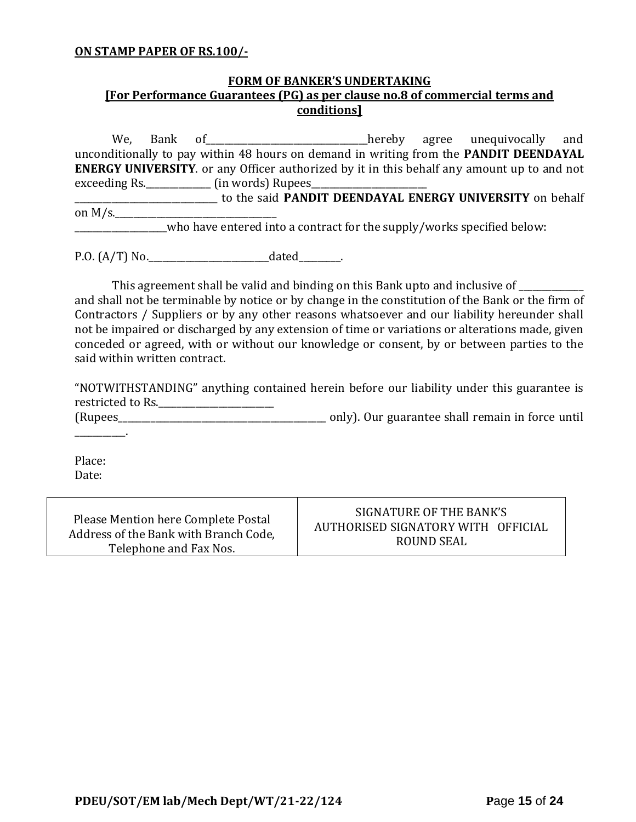#### **ON STAMP PAPER OF RS.100/-**

### **FORM OF BANKER'S UNDERTAKING [For Performance Guarantees (PG) as per clause no.8 of commercial terms and conditions]**

We, Bank of\_\_\_\_\_\_\_\_\_\_\_\_\_\_\_\_\_\_\_\_\_\_\_\_\_\_\_\_\_\_\_\_\_\_\_hereby agree unequivocally and unconditionally to pay within 48 hours on demand in writing from the **PANDIT DEENDAYAL ENERGY UNIVERSITY**. or any Officer authorized by it in this behalf any amount up to and not exceeding Rs. \_\_\_\_\_\_\_\_\_\_\_\_\_\_\_ (in words) Rupees\_\_\_ \_\_\_\_\_\_\_\_\_\_\_\_\_\_\_\_\_\_\_\_\_\_\_\_\_\_\_\_\_\_\_ to the said **PANDIT DEENDAYAL ENERGY UNIVERSITY** on behalf on  $M/s$ . \_\_\_\_\_\_\_\_\_\_\_\_\_\_\_\_\_\_\_\_who have entered into a contract for the supply/works specified below:

P.O. (A/T) No.\_\_\_\_\_\_\_\_\_\_\_\_\_\_\_\_\_\_\_\_\_\_\_\_\_\_dated\_\_\_\_\_\_\_\_\_.

This agreement shall be valid and binding on this Bank upto and inclusive of \_\_\_\_\_\_\_\_\_\_ and shall not be terminable by notice or by change in the constitution of the Bank or the firm of Contractors / Suppliers or by any other reasons whatsoever and our liability hereunder shall not be impaired or discharged by any extension of time or variations or alterations made, given conceded or agreed, with or without our knowledge or consent, by or between parties to the said within written contract.

"NOTWITHSTANDING" anything contained herein before our liability under this guarantee is restricted to Rs.\_\_\_\_\_\_\_\_\_\_\_\_\_\_\_\_\_\_\_\_\_\_\_\_\_

(Rupees\_\_\_\_\_\_\_\_\_\_\_\_\_\_\_\_\_\_\_\_\_\_\_\_\_\_\_\_\_\_\_\_\_\_\_\_\_\_\_\_\_\_\_\_\_ only). Our guarantee shall remain in force until

Place: Date:

 $\mathcal{L}=\mathcal{L}^{\mathcal{L}}$ 

| Please Mention here Complete Postal   | SIGNATURE OF THE BANK'S            |
|---------------------------------------|------------------------------------|
| Address of the Bank with Branch Code, | AUTHORISED SIGNATORY WITH OFFICIAL |
| Telephone and Fax Nos.                | ROUND SEAL                         |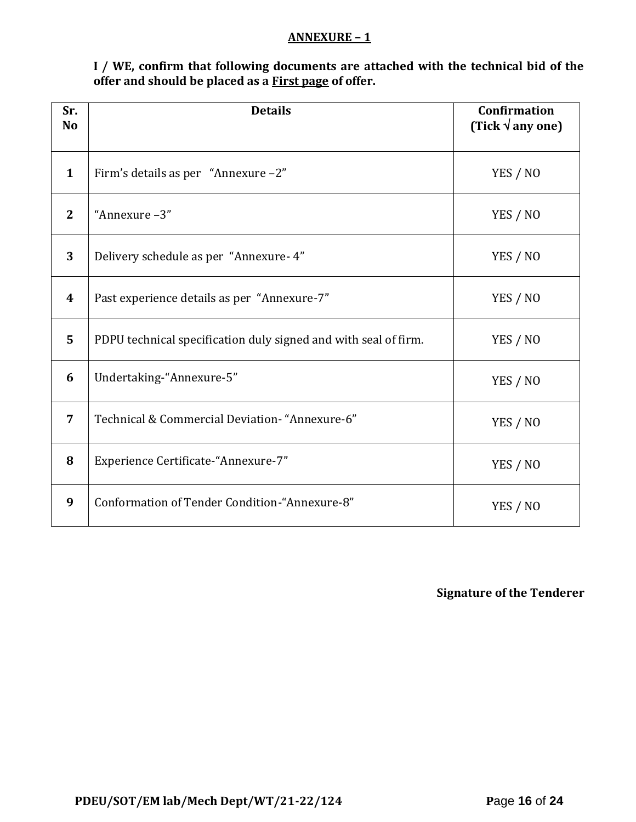#### **ANNEXURE – 1**

**I / WE, confirm that following documents are attached with the technical bid of the offer and should be placed as a First page of offer.**

| Sr.<br>N <sub>o</sub> | <b>Details</b>                                                  | <b>Confirmation</b><br>(Tick $\sqrt{$ any one) |
|-----------------------|-----------------------------------------------------------------|------------------------------------------------|
| $\mathbf{1}$          | Firm's details as per "Annexure -2"                             | YES / NO                                       |
| $\mathbf{2}$          | "Annexure-3"                                                    | YES / NO                                       |
| 3                     | Delivery schedule as per "Annexure- 4"                          | YES / NO                                       |
| $\boldsymbol{4}$      | Past experience details as per "Annexure-7"                     | YES / NO                                       |
| 5                     | PDPU technical specification duly signed and with seal of firm. | YES / NO                                       |
| 6                     | Undertaking-"Annexure-5"                                        | YES / NO                                       |
| $\overline{7}$        | Technical & Commercial Deviation- "Annexure-6"                  | YES / NO                                       |
| 8                     | Experience Certificate-"Annexure-7"                             | YES / NO                                       |
| 9                     | Conformation of Tender Condition-"Annexure-8"                   | YES / NO                                       |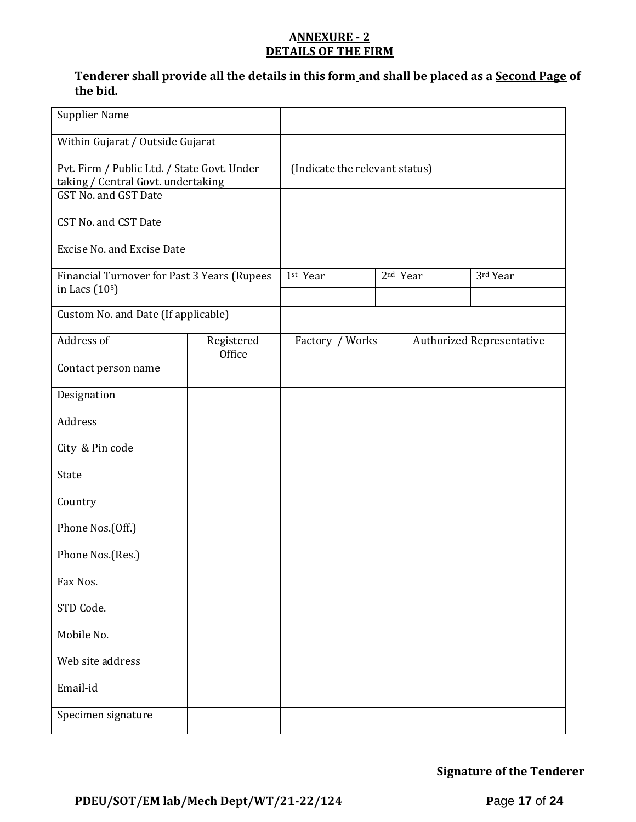#### **ANNEXURE - 2 DETAILS OF THE FIRM**

### **Tenderer shall provide all the details in this form and shall be placed as a Second Page of the bid.**

| <b>Supplier Name</b>                                                                                      |                      |                                |                      |                                  |
|-----------------------------------------------------------------------------------------------------------|----------------------|--------------------------------|----------------------|----------------------------------|
| Within Gujarat / Outside Gujarat                                                                          |                      |                                |                      |                                  |
| Pvt. Firm / Public Ltd. / State Govt. Under<br>taking / Central Govt. undertaking<br>GST No. and GST Date |                      | (Indicate the relevant status) |                      |                                  |
| CST No. and CST Date                                                                                      |                      |                                |                      |                                  |
| <b>Excise No. and Excise Date</b>                                                                         |                      |                                |                      |                                  |
| Financial Turnover for Past 3 Years (Rupees<br>in Lacs (10 <sup>5</sup> )                                 |                      | 1st Year                       | 2 <sup>nd</sup> Year | 3rd Year                         |
| Custom No. and Date (If applicable)                                                                       |                      |                                |                      |                                  |
| Address of                                                                                                | Registered<br>Office | Factory / Works                |                      | <b>Authorized Representative</b> |
| Contact person name                                                                                       |                      |                                |                      |                                  |
| Designation                                                                                               |                      |                                |                      |                                  |
| Address                                                                                                   |                      |                                |                      |                                  |
| City & Pin code                                                                                           |                      |                                |                      |                                  |
| State                                                                                                     |                      |                                |                      |                                  |
| Country                                                                                                   |                      |                                |                      |                                  |
| Phone Nos.(Off.)                                                                                          |                      |                                |                      |                                  |
| Phone Nos.(Res.)                                                                                          |                      |                                |                      |                                  |
| Fax Nos.                                                                                                  |                      |                                |                      |                                  |
| STD Code.                                                                                                 |                      |                                |                      |                                  |
| Mobile No.                                                                                                |                      |                                |                      |                                  |
| Web site address                                                                                          |                      |                                |                      |                                  |
| Email-id                                                                                                  |                      |                                |                      |                                  |
| Specimen signature                                                                                        |                      |                                |                      |                                  |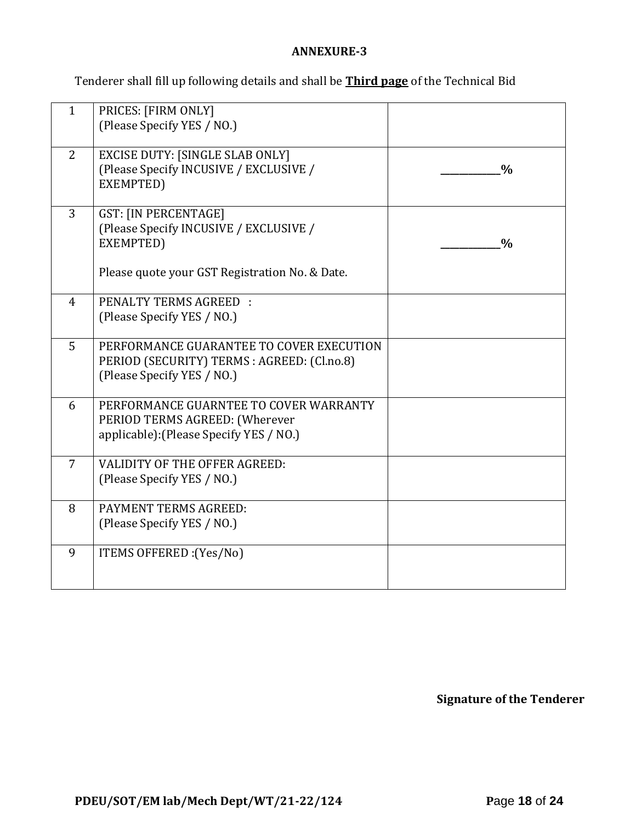### **ANNEXURE-3**

Tenderer shall fill up following details and shall be **Third page** of the Technical Bid

| $\mathbf{1}$   | PRICES: [FIRM ONLY]<br>(Please Specify YES / NO.)                                                                                    |               |
|----------------|--------------------------------------------------------------------------------------------------------------------------------------|---------------|
| 2              | <b>EXCISE DUTY: [SINGLE SLAB ONLY]</b><br>(Please Specify INCUSIVE / EXCLUSIVE /<br>EXEMPTED)                                        | $\frac{0}{0}$ |
| 3              | <b>GST: [IN PERCENTAGE]</b><br>(Please Specify INCUSIVE / EXCLUSIVE /<br>EXEMPTED)<br>Please quote your GST Registration No. & Date. | $\frac{0}{0}$ |
| $\overline{4}$ | <b>PENALTY TERMS AGREED:</b><br>(Please Specify YES / NO.)                                                                           |               |
| 5              | PERFORMANCE GUARANTEE TO COVER EXECUTION<br>PERIOD (SECURITY) TERMS : AGREED: (Cl.no.8)<br>(Please Specify YES / NO.)                |               |
| 6              | PERFORMANCE GUARNTEE TO COVER WARRANTY<br>PERIOD TERMS AGREED: (Wherever<br>applicable): (Please Specify YES / NO.)                  |               |
| 7              | VALIDITY OF THE OFFER AGREED:<br>(Please Specify YES / NO.)                                                                          |               |
| 8              | PAYMENT TERMS AGREED:<br>(Please Specify YES / NO.)                                                                                  |               |
| 9              | ITEMS OFFERED : (Yes/No)                                                                                                             |               |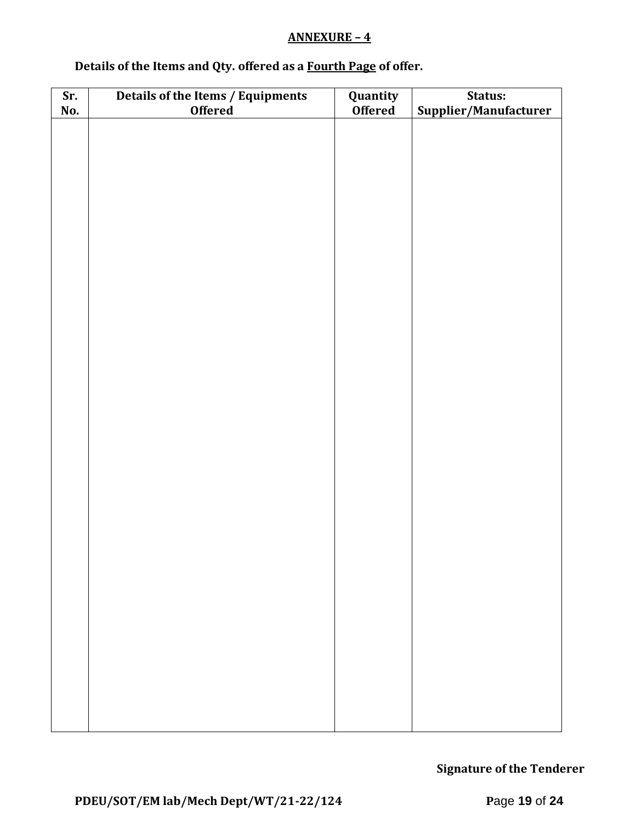### **ANNEXURE – 4**

# **Details of the Items and Qty. offered as a Fourth Page of offer.**

| Sr. | Details of the Items / Equipments | Quantity       | Status:               |  |  |
|-----|-----------------------------------|----------------|-----------------------|--|--|
| No. | <b>Offered</b>                    | <b>Offered</b> | Supplier/Manufacturer |  |  |
|     |                                   |                |                       |  |  |
|     |                                   |                |                       |  |  |
|     |                                   |                |                       |  |  |
|     |                                   |                |                       |  |  |
|     |                                   |                |                       |  |  |
|     |                                   |                |                       |  |  |
|     |                                   |                |                       |  |  |
|     |                                   |                |                       |  |  |
|     |                                   |                |                       |  |  |
|     |                                   |                |                       |  |  |
|     |                                   |                |                       |  |  |
|     |                                   |                |                       |  |  |
|     |                                   |                |                       |  |  |
|     |                                   |                |                       |  |  |
|     |                                   |                |                       |  |  |
|     |                                   |                |                       |  |  |
|     |                                   |                |                       |  |  |
|     |                                   |                |                       |  |  |
|     |                                   |                |                       |  |  |
|     |                                   |                |                       |  |  |
|     |                                   |                |                       |  |  |
|     |                                   |                |                       |  |  |
|     |                                   |                |                       |  |  |
|     |                                   |                |                       |  |  |
|     |                                   |                |                       |  |  |
|     |                                   |                |                       |  |  |
|     |                                   |                |                       |  |  |
|     |                                   |                |                       |  |  |
|     |                                   |                |                       |  |  |
|     |                                   |                |                       |  |  |
|     |                                   |                |                       |  |  |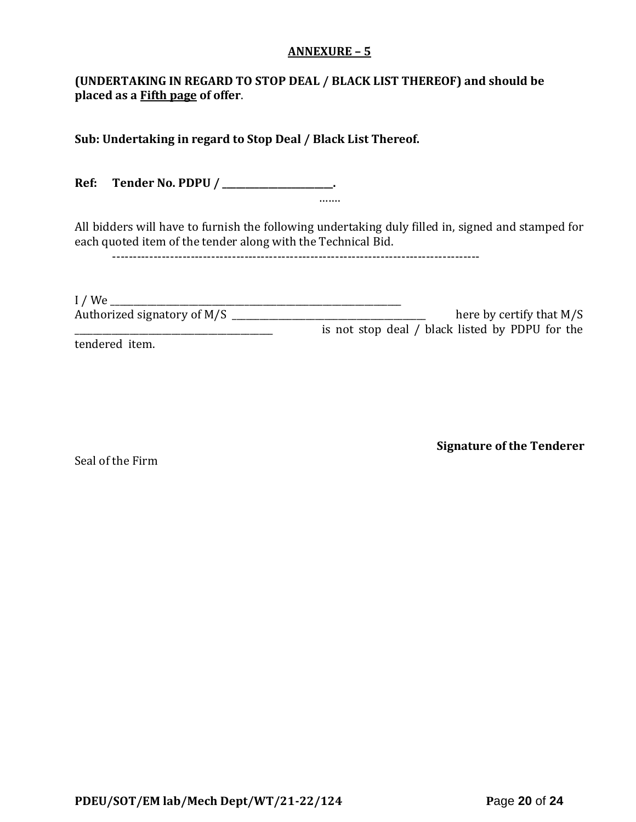#### **ANNEXURE – 5**

### **(UNDERTAKING IN REGARD TO STOP DEAL / BLACK LIST THEREOF) and should be placed as a Fifth page of offer**.

**Sub: Undertaking in regard to Stop Deal / Black List Thereof.**

**Ref: Tender No. PDPU / \_\_\_\_\_\_\_\_\_\_\_\_\_\_\_\_\_\_\_\_\_\_\_\_.** …….

All bidders will have to furnish the following undertaking duly filled in, signed and stamped for each quoted item of the tender along with the Technical Bid.

-----------------------------------------------------------------------------------------

| I/We                        |                                                 |
|-----------------------------|-------------------------------------------------|
| Authorized signatory of M/S | here by certify that $M/S$                      |
|                             | is not stop deal / black listed by PDPU for the |
| tendered item.              |                                                 |

Seal of the Firm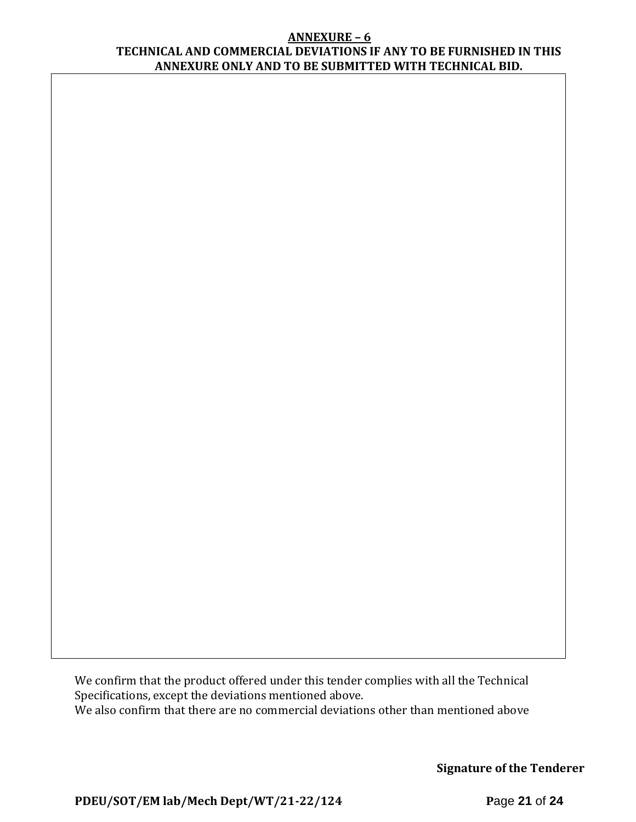#### **ANNEXURE – 6 TECHNICAL AND COMMERCIAL DEVIATIONS IF ANY TO BE FURNISHED IN THIS ANNEXURE ONLY AND TO BE SUBMITTED WITH TECHNICAL BID.**

We confirm that the product offered under this tender complies with all the Technical Specifications, except the deviations mentioned above. We also confirm that there are no commercial deviations other than mentioned above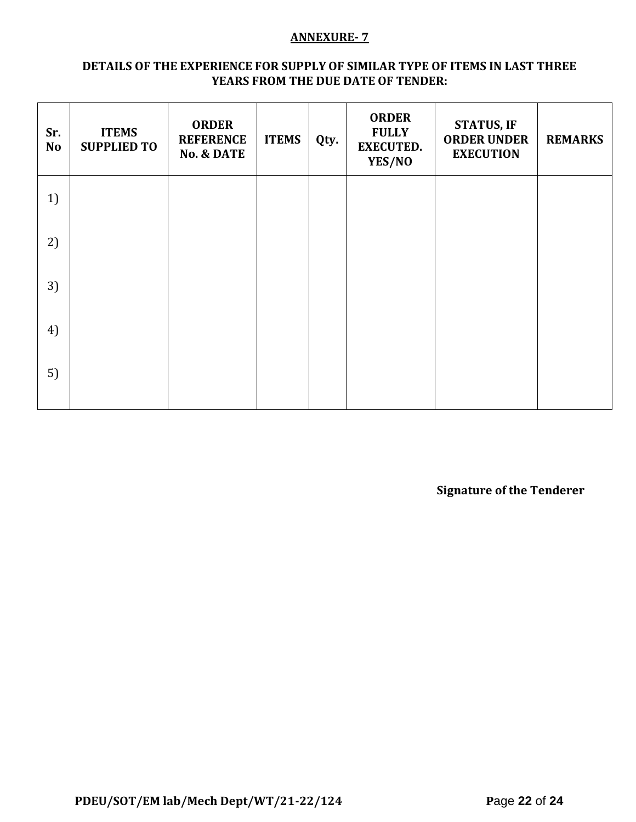#### **ANNEXURE- 7**

#### **DETAILS OF THE EXPERIENCE FOR SUPPLY OF SIMILAR TYPE OF ITEMS IN LAST THREE YEARS FROM THE DUE DATE OF TENDER:**

| Sr.<br><b>No</b> | <b>ITEMS</b><br><b>SUPPLIED TO</b> | <b>ORDER</b><br><b>REFERENCE</b><br><b>No. &amp; DATE</b> | <b>ITEMS</b> | Qty. | <b>ORDER</b><br><b>FULLY</b><br><b>EXECUTED.</b><br>YES/NO | <b>STATUS, IF</b><br><b>ORDER UNDER</b><br><b>EXECUTION</b> | <b>REMARKS</b> |
|------------------|------------------------------------|-----------------------------------------------------------|--------------|------|------------------------------------------------------------|-------------------------------------------------------------|----------------|
| 1)               |                                    |                                                           |              |      |                                                            |                                                             |                |
| 2)               |                                    |                                                           |              |      |                                                            |                                                             |                |
| 3)               |                                    |                                                           |              |      |                                                            |                                                             |                |
| 4)               |                                    |                                                           |              |      |                                                            |                                                             |                |
| 5)               |                                    |                                                           |              |      |                                                            |                                                             |                |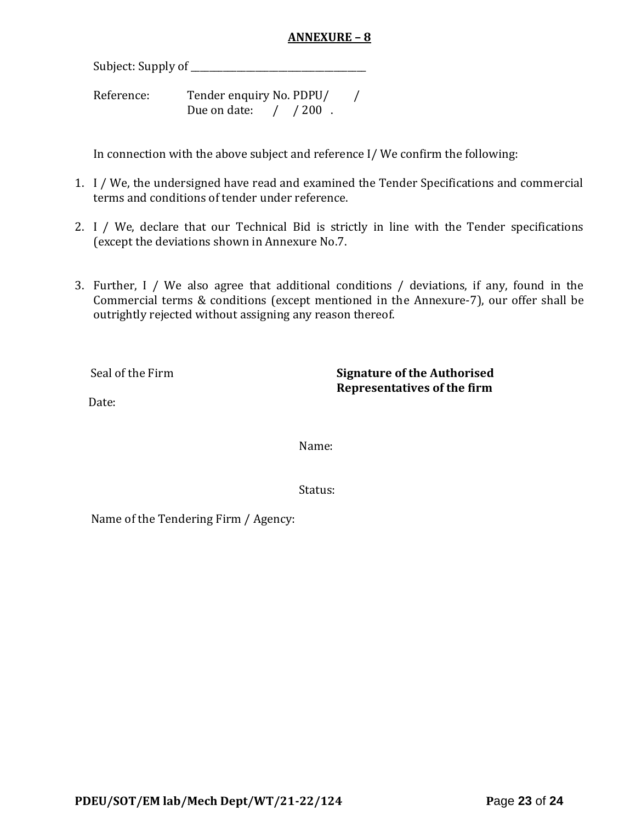### **ANNEXURE – 8**

Subject: Supply of \_\_\_\_\_\_\_\_\_\_\_\_\_\_\_\_\_\_\_\_\_\_\_\_\_\_\_\_\_\_\_\_\_\_\_\_\_\_

Reference: Tender enquiry No. PDPU/ / Due on date: / / 200.

In connection with the above subject and reference I/ We confirm the following:

- 1. I / We, the undersigned have read and examined the Tender Specifications and commercial terms and conditions of tender under reference.
- 2. I / We, declare that our Technical Bid is strictly in line with the Tender specifications (except the deviations shown in Annexure No.7.
- 3. Further, I / We also agree that additional conditions / deviations, if any, found in the Commercial terms & conditions (except mentioned in the Annexure-7), our offer shall be outrightly rejected without assigning any reason thereof.

Seal of the Firm **Signature of the Authorised Representatives of the firm**

Date:

Name:

Status:

Name of the Tendering Firm / Agency: